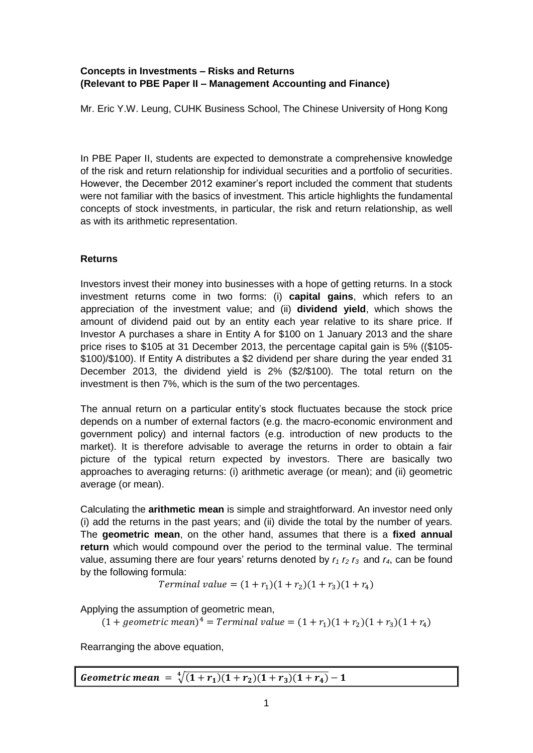# **Concepts in Investments – Risks and Returns (Relevant to PBE Paper II – Management Accounting and Finance)**

Mr. Eric Y.W. Leung, CUHK Business School, The Chinese University of Hong Kong

In PBE Paper II, students are expected to demonstrate a comprehensive knowledge of the risk and return relationship for individual securities and a portfolio of securities. However, the December 2012 examiner's report included the comment that students were not familiar with the basics of investment. This article highlights the fundamental concepts of stock investments, in particular, the risk and return relationship, as well as with its arithmetic representation.

### **Returns**

Investors invest their money into businesses with a hope of getting returns. In a stock investment returns come in two forms: (i) **capital gains**, which refers to an appreciation of the investment value; and (ii) **dividend yield**, which shows the amount of dividend paid out by an entity each year relative to its share price. If Investor A purchases a share in Entity A for \$100 on 1 January 2013 and the share price rises to \$105 at 31 December 2013, the percentage capital gain is 5% ((\$105- \$100)/\$100). If Entity A distributes a \$2 dividend per share during the year ended 31 December 2013, the dividend yield is 2% (\$2/\$100). The total return on the investment is then 7%, which is the sum of the two percentages.

The annual return on a particular entity's stock fluctuates because the stock price depends on a number of external factors (e.g. the macro-economic environment and government policy) and internal factors (e.g. introduction of new products to the market). It is therefore advisable to average the returns in order to obtain a fair picture of the typical return expected by investors. There are basically two approaches to averaging returns: (i) arithmetic average (or mean); and (ii) geometric average (or mean).

Calculating the **arithmetic mean** is simple and straightforward. An investor need only (i) add the returns in the past years; and (ii) divide the total by the number of years. The **geometric mean**, on the other hand, assumes that there is a **fixed annual return** which would compound over the period to the terminal value. The terminal value, assuming there are four years' returns denoted by  $r_1 r_2 r_3$  and  $r_4$ , can be found by the following formula:

Terminal value =  $(1 + r_1)(1 + r_2)(1 + r_3)(1 + r_4)$ 

Applying the assumption of geometric mean,

 $(1 + geometric \, mean)^4$ 

Rearranging the above equation,

Geometric mean =  $\sqrt[4]{(1+r_1)}$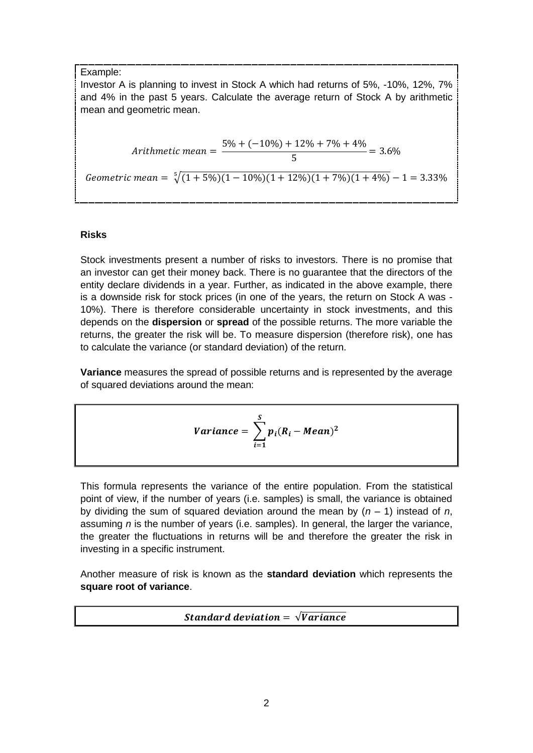### Example:

Investor A is planning to invest in Stock A which had returns of 5%, -10%, 12%, 7% and 4% in the past 5 years. Calculate the average return of Stock A by arithmetic mean and geometric mean.

Arithmetic mean = 
$$
\frac{5\% + (-10\%) + 12\% + 7\% + 4\%}{5} = 3.6\%
$$
  
Geometric mean = 
$$
\sqrt[5]{(1 + 5\%)(1 - 10\%)(1 + 12\%)(1 + 7\%)(1 + 4\%)} - 1 = 3.33\%
$$

# **Risks**

Stock investments present a number of risks to investors. There is no promise that an investor can get their money back. There is no guarantee that the directors of the entity declare dividends in a year. Further, as indicated in the above example, there is a downside risk for stock prices (in one of the years, the return on Stock A was - 10%). There is therefore considerable uncertainty in stock investments, and this depends on the **dispersion** or **spread** of the possible returns. The more variable the returns, the greater the risk will be. To measure dispersion (therefore risk), one has to calculate the variance (or standard deviation) of the return.

**Variance** measures the spread of possible returns and is represented by the average of squared deviations around the mean:

$$
Variance = \sum_{i=1}^{S} p_i (R_i - Mean)^2
$$

This formula represents the variance of the entire population. From the statistical point of view, if the number of years (i.e. samples) is small, the variance is obtained by dividing the sum of squared deviation around the mean by (*n* – 1) instead of *n*, assuming *n* is the number of years (i.e. samples). In general, the larger the variance, the greater the fluctuations in returns will be and therefore the greater the risk in investing in a specific instrument.

Another measure of risk is known as the **standard deviation** which represents the **square root of variance**.

**Standard deviation =**  $\sqrt{Variance}$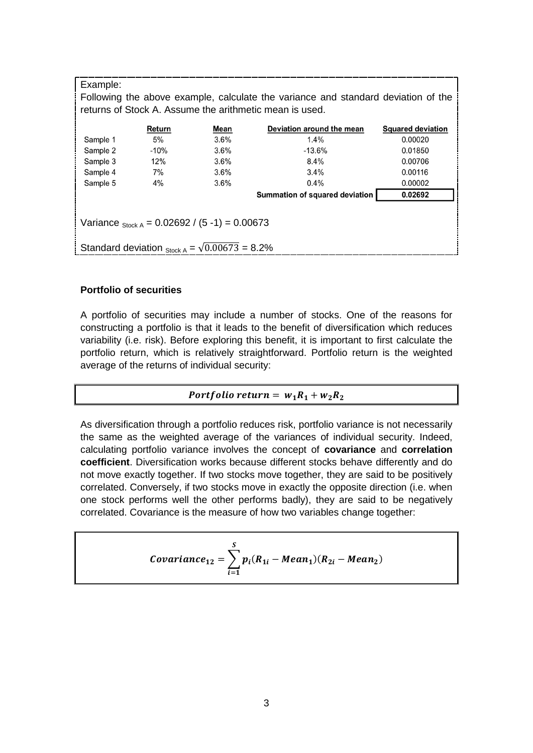| Example:<br>Following the above example, calculate the variance and standard deviation of the<br>returns of Stock A. Assume the arithmetic mean is used. |        |         |                                       |                          |  |  |
|----------------------------------------------------------------------------------------------------------------------------------------------------------|--------|---------|---------------------------------------|--------------------------|--|--|
|                                                                                                                                                          | Return | Mean    | Deviation around the mean             | <b>Squared deviation</b> |  |  |
| Sample 1                                                                                                                                                 | 5%     | $3.6\%$ | $1.4\%$                               | 0.00020                  |  |  |
| Sample 2                                                                                                                                                 | $-10%$ | 3.6%    | $-13.6%$                              | 0.01850                  |  |  |
| Sample 3                                                                                                                                                 | 12%    | 3.6%    | $8.4\%$                               | 0.00706                  |  |  |
| Sample 4                                                                                                                                                 | 7%     | 3.6%    | $3.4\%$                               | 0.00116                  |  |  |
| Sample 5                                                                                                                                                 | $4\%$  | $3.6\%$ | $0.4\%$                               | 0.00002                  |  |  |
|                                                                                                                                                          |        |         | <b>Summation of squared deviation</b> | 0.02692                  |  |  |
| Variance $_{\text{Stock A}} = 0.02692 / (5 - 1) = 0.00673$<br>Standard deviation $_{\text{Stock A}} = \sqrt{0.00673} = 8.2\%$                            |        |         |                                       |                          |  |  |

### **Portfolio of securities**

A portfolio of securities may include a number of stocks. One of the reasons for constructing a portfolio is that it leads to the benefit of diversification which reduces variability (i.e. risk). Before exploring this benefit, it is important to first calculate the portfolio return, which is relatively straightforward. Portfolio return is the weighted average of the returns of individual security:

### Portfolio return =  $w_1R_1 + w_2R_2$

As diversification through a portfolio reduces risk, portfolio variance is not necessarily the same as the weighted average of the variances of individual security. Indeed, calculating portfolio variance involves the concept of **covariance** and **correlation coefficient**. Diversification works because different stocks behave differently and do not move exactly together. If two stocks move together, they are said to be positively correlated. Conversely, if two stocks move in exactly the opposite direction (i.e. when one stock performs well the other performs badly), they are said to be negatively correlated. Covariance is the measure of how two variables change together:

Covariance<sub>12</sub> = 
$$
\sum_{i=1}^{S} p_i(R_{1i} - Mean_1)(R_{2i} - Mean_2)
$$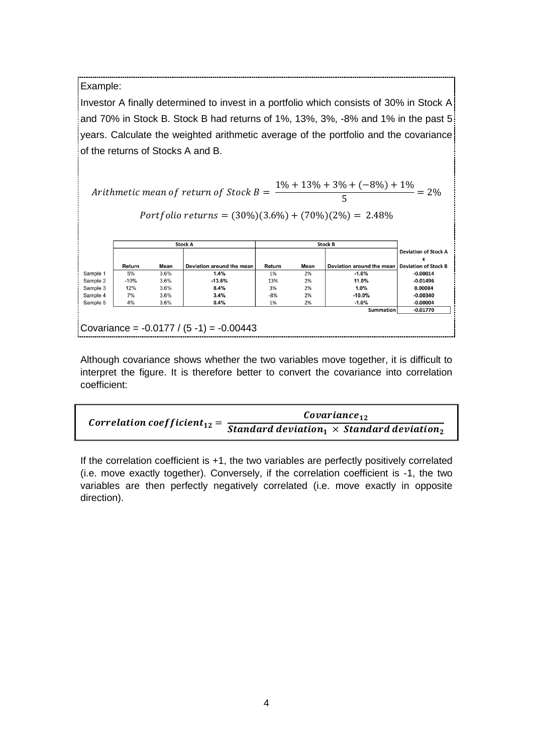Example:

Investor A finally determined to invest in a portfolio which consists of 30% in Stock A and 70% in Stock B. Stock B had returns of 1%, 13%, 3%, -8% and 1% in the past 5 years. Calculate the weighted arithmetic average of the portfolio and the covariance of the returns of Stocks A and B.

 $\overline{A}$  $\mathbf{1}$  $\frac{1}{5}$  =

Portfolio returns =  $(30\%)(3.6\%) + (70\%)(2\%) = 2.48\%$ 

|          | <b>Stock A</b> |      | <b>Stock B</b>                              |        |      |                           |                                  |
|----------|----------------|------|---------------------------------------------|--------|------|---------------------------|----------------------------------|
|          |                |      |                                             |        |      |                           | <b>Deviation of Stock A</b><br>x |
|          | Return         | Mean | Deviation around the mean                   | Return | Mean | Deviation around the mean | <b>Deviation of Stock B</b>      |
| Sample 1 | 5%             | 3.6% | 1.4%                                        | 1%     | 2%   | $-1.0%$                   | $-0.00014$                       |
| Sample 2 | $-10%$         | 3.6% | $-13.6%$                                    | 13%    | 2%   | 11.0%                     | $-0.01496$                       |
| Sample 3 | 12%            | 3.6% | 8.4%                                        | 3%     | 2%   | 1.0%                      | 0.00084                          |
| Sample 4 | 7%             | 3.6% | 3.4%                                        | $-8%$  | 2%   | $-10.0%$                  | $-0.00340$                       |
| Sample 5 | 4%             | 3.6% | 0.4%                                        | 1%     | 2%   | $-1.0%$                   | $-0.00004$                       |
|          |                |      |                                             |        |      | Summation                 | $-0.01770$                       |
|          |                |      |                                             |        |      |                           |                                  |
|          |                |      | Covariance = $-0.0177 / (5 - 1) = -0.00443$ |        |      |                           |                                  |

Although covariance shows whether the two variables move together, it is difficult to interpret the figure. It is therefore better to convert the covariance into correlation coefficient:

| Correlation coefficient <sub>12</sub> = | $\mathcal{C}ovariance_{12}$                                    |  |  |
|-----------------------------------------|----------------------------------------------------------------|--|--|
|                                         | Standard deviation $_1 \times$ Standard deviation <sub>2</sub> |  |  |

If the correlation coefficient is  $+1$ , the two variables are perfectly positively correlated (i.e. move exactly together). Conversely, if the correlation coefficient is -1, the two variables are then perfectly negatively correlated (i.e. move exactly in opposite direction).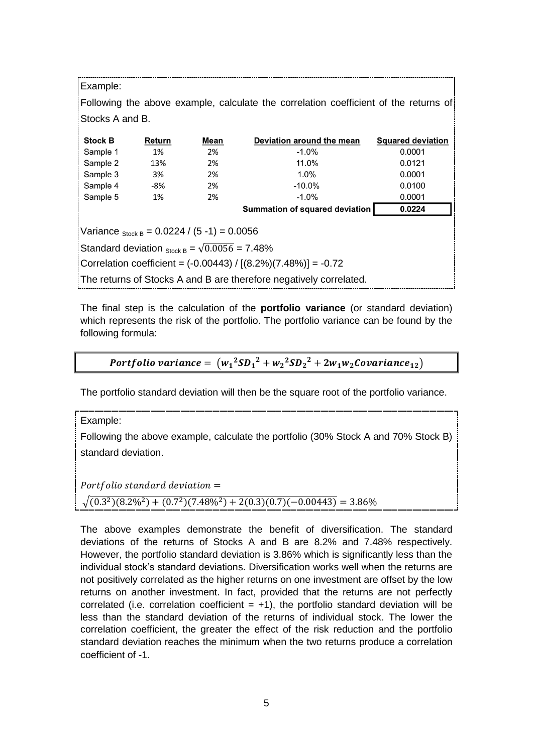| Example:                                                                             |        |      |                                |                          |  |  |  |
|--------------------------------------------------------------------------------------|--------|------|--------------------------------|--------------------------|--|--|--|
| Following the above example, calculate the correlation coefficient of the returns of |        |      |                                |                          |  |  |  |
| Stocks A and B.                                                                      |        |      |                                |                          |  |  |  |
| <b>Stock B</b>                                                                       | Return | Mean | Deviation around the mean      | <b>Squared deviation</b> |  |  |  |
| Sample 1                                                                             | 1%     | 2%   | $-1.0\%$                       | 0.0001                   |  |  |  |
| Sample 2                                                                             | 13%    | 2%   | 11.0%                          | 0.0121                   |  |  |  |
| Sample 3                                                                             | 3%     | 2%   | 1.0%                           | 0.0001                   |  |  |  |
| Sample 4                                                                             | -8%    | 2%   | $-10.0\%$                      | 0.0100                   |  |  |  |
| Sample 5                                                                             | 1%     | 2%   | $-1.0\%$                       | 0.0001                   |  |  |  |
|                                                                                      |        |      | Summation of squared deviation | 0.0224                   |  |  |  |
| Variance $_{Stock B} = 0.0224 / (5 - 1) = 0.0056$                                    |        |      |                                |                          |  |  |  |
| Standard deviation $_{\text{Stock B}} = \sqrt{0.0056} = 7.48\%$                      |        |      |                                |                          |  |  |  |
| Correlation coefficient = $(-0.00443) / [(8.2\%) (7.48\%)] = -0.72$                  |        |      |                                |                          |  |  |  |
| The returns of Stocks A and B are therefore negatively correlated.                   |        |      |                                |                          |  |  |  |

The final step is the calculation of the **portfolio variance** (or standard deviation) which represents the risk of the portfolio. The portfolio variance can be found by the following formula:

**Portfolio variance** = 
$$
(w_1^2SD_1^2 + w_2^2SD_2^2 + 2w_1w_2Covariance_{12})
$$

The portfolio standard deviation will then be the square root of the portfolio variance.

Example:

Following the above example, calculate the portfolio (30% Stock A and 70% Stock B) standard deviation.

Portfolio standard deviation  $=$ 

```
\sqrt{(0.3^2)(8.2\%^2)+(0.7^2)}
```
The above examples demonstrate the benefit of diversification. The standard deviations of the returns of Stocks A and B are 8.2% and 7.48% respectively. However, the portfolio standard deviation is 3.86% which is significantly less than the individual stock's standard deviations. Diversification works well when the returns are not positively correlated as the higher returns on one investment are offset by the low returns on another investment. In fact, provided that the returns are not perfectly correlated (i.e. correlation coefficient  $= +1$ ), the portfolio standard deviation will be less than the standard deviation of the returns of individual stock. The lower the correlation coefficient, the greater the effect of the risk reduction and the portfolio standard deviation reaches the minimum when the two returns produce a correlation coefficient of -1.